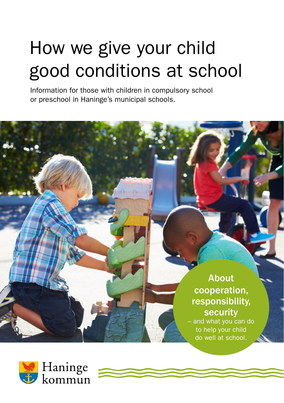# How we give your child good conditions at school

Information for those with children in compulsory school or preschool in Haninge's municipal schools.

> About cooperation, responsibility, security

– and what you can do to help your child do well at school.

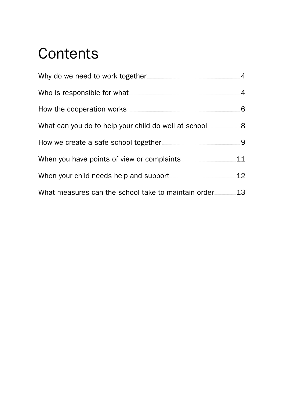# **Contents**

|                                                     | 4  |
|-----------------------------------------------------|----|
| Who is responsible for what                         | 4  |
| How the cooperation works                           | 6  |
|                                                     | 8  |
|                                                     | .9 |
| When you have points of view or complaints          | 11 |
| When your child needs help and support              | 12 |
| What measures can the school take to maintain order | 13 |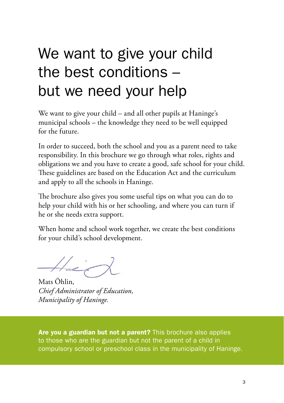# We want to give your child the best conditions – but we need your help

We want to give your child – and all other pupils at Haninge's municipal schools – the knowledge they need to be well equipped for the future.

In order to succeed, both the school and you as a parent need to take responsibility. In this brochure we go through what roles, rights and obligations we and you have to create a good, safe school for your child. These guidelines are based on the Education Act and the curriculum and apply to all the schools in Haninge.

The brochure also gives you some useful tips on what you can do to help your child with his or her schooling, and where you can turn if he or she needs extra support.

When home and school work together, we create the best conditions for your child's school development.

 $H_{eff}$ 

Mats Öhlin, *Chief Administrator of Education, Municipality of Haninge.*

Are you a guardian but not a parent? This brochure also applies to those who are the guardian but not the parent of a child in compulsory school or preschool class in the municipality of Haninge.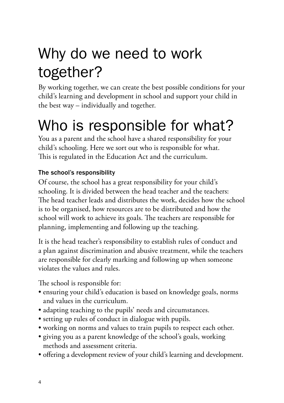# <span id="page-3-0"></span>Why do we need to work together?

By working together, we can create the best possible conditions for your child's learning and development in school and support your child in the best way – individually and together.

# Who is responsible for what?

You as a parent and the school have a shared responsibility for your child's schooling. Here we sort out who is responsible for what. This is regulated in the Education Act and the curriculum.

# The school's responsibility

Of course, the school has a great responsibility for your child's schooling. It is divided between the head teacher and the teachers: The head teacher leads and distributes the work, decides how the school is to be organised, how resources are to be distributed and how the school will work to achieve its goals. The teachers are responsible for planning, implementing and following up the teaching.

It is the head teacher's responsibility to establish rules of conduct and a plan against discrimination and abusive treatment, while the teachers are responsible for clearly marking and following up when someone violates the values and rules.

The school is responsible for:

- ensuring your child's education is based on knowledge goals, norms and values in the curriculum.
- adapting teaching to the pupils' needs and circumstances.
- setting up rules of conduct in dialogue with pupils.
- working on norms and values to train pupils to respect each other.
- giving you as a parent knowledge of the school's goals, working methods and assessment criteria.
- offering a development review of your child's learning and development.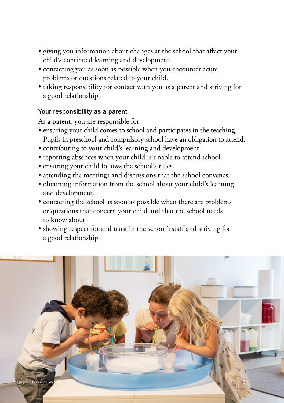- giving you information about changes at the school that affect your child's continued learning and development.
- contacting you as soon as possible when you encounter acute problems or questions related to your child.
- taking responsibility for contact with you as a parent and striving for a good relationship.

#### Your responsibility as a parent

As a parent, you are responsible for:

- ensuring your child comes to school and participates in the teaching. Pupils in preschool and compulsory school have an obligation to attend.
- contributing to your child's learning and development.
- reporting absences when your child is unable to attend school.
- ensuring your child follows the school's rules.
- attending the meetings and discussions that the school convenes.
- obtaining information from the school about your child's learning and development.
- contacting the school as soon as possible when there are problems or questions that concern your child and that the school needs to know about.
- showing respect for and trust in the school's staff and striving for a good relationship.

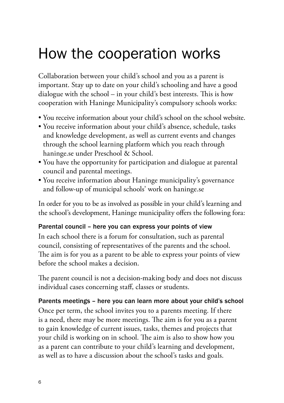# <span id="page-5-0"></span>How the cooperation works

Collaboration between your child's school and you as a parent is important. Stay up to date on your child's schooling and have a good dialogue with the school – in your child's best interests. This is how cooperation with Haninge Municipality's compulsory schools works:

- You receive information about your child's school on the school website.
- You receive information about your child's absence, schedule, tasks and knowledge development, as well as current events and changes through the school learning platform which you reach through [haninge.se](http://haninge.se) under Preschool & School.
- You have the opportunity for participation and dialogue at parental council and parental meetings.
- You receive information about Haninge municipality's governance and follow-up of municipal schools' work on [haninge.se](http://haninge.se)

In order for you to be as involved as possible in your child's learning and the school's development, Haninge municipality offers the following fora:

### Parental council – here you can express your points of view

In each school there is a forum for consultation, such as parental council, consisting of representatives of the parents and the school. The aim is for you as a parent to be able to express your points of view before the school makes a decision.

The parent council is not a decision-making body and does not discuss individual cases concerning staff, classes or students.

### Parents meetings – here you can learn more about your child's school

Once per term, the school invites you to a parents meeting. If there is a need, there may be more meetings. The aim is for you as a parent to gain knowledge of current issues, tasks, themes and projects that your child is working on in school. The aim is also to show how you as a parent can contribute to your child's learning and development, as well as to have a discussion about the school's tasks and goals.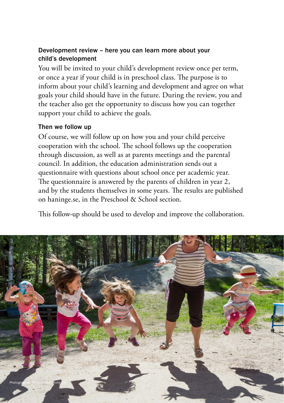#### Development review – here you can learn more about your child's development

You will be invited to your child's development review once per term, or once a year if your child is in preschool class. The purpose is to inform about your child's learning and development and agree on what goals your child should have in the future. During the review, you and the teacher also get the opportunity to discuss how you can together support your child to achieve the goals.

#### Then we follow up

Of course, we will follow up on how you and your child perceive cooperation with the school. The school follows up the cooperation through discussion, as well as at parents meetings and the parental council. In addition, the education administration sends out a questionnaire with questions about school once per academic year. The questionnaire is answered by the parents of children in year 2, and by the students themselves in some years. The results are published on [haninge.se,](http://haninge.se) in the Preschool & School section.

This follow-up should be used to develop and improve the collaboration.

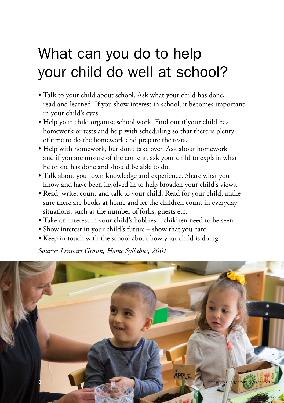# <span id="page-7-0"></span>What can you do to help your child do well at school?

- Talk to your child about school. Ask what your child has done, read and learned. If you show interest in school, it becomes important in your child's eyes.
- Help your child organise school work. Find out if your child has homework or tests and help with scheduling so that there is plenty of time to do the homework and prepare the tests.
- Help with homework, but don't take over. Ask about homework and if you are unsure of the content, ask your child to explain what he or she has done and should be able to do.
- Talk about your own knowledge and experience. Share what you know and have been involved in to help broaden your child's views.
- Read, write, count and talk to your child. Read for your child, make sure there are books at home and let the children count in everyday situations, such as the number of forks, guests etc.
- Take an interest in your child's hobbies children need to be seen.
- Show interest in your child's future show that you care.
- Keep in touch with the school about how your child is doing.

*Source: Lennart Grosin, Home Syllabus, 2001.*

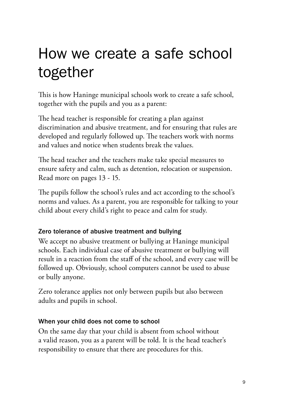# <span id="page-8-0"></span>How we create a safe school together

This is how Haninge municipal schools work to create a safe school, together with the pupils and you as a parent:

The head teacher is responsible for creating a plan against discrimination and abusive treatment, and for ensuring that rules are developed and regularly followed up. The teachers work with norms and values and notice when students break the values.

The head teacher and the teachers make take special measures to ensure safety and calm, such as detention, relocation or suspension. Read more on pages 13 - 15.

The pupils follow the school's rules and act according to the school's norms and values. As a parent, you are responsible for talking to your child about every child's right to peace and calm for study.

## Zero tolerance of abusive treatment and bullying

We accept no abusive treatment or bullying at Haninge municipal schools. Each individual case of abusive treatment or bullying will result in a reaction from the staff of the school, and every case will be followed up. Obviously, school computers cannot be used to abuse or bully anyone.

Zero tolerance applies not only between pupils but also between adults and pupils in school.

## When your child does not come to school

On the same day that your child is absent from school without a valid reason, you as a parent will be told. It is the head teacher's responsibility to ensure that there are procedures for this.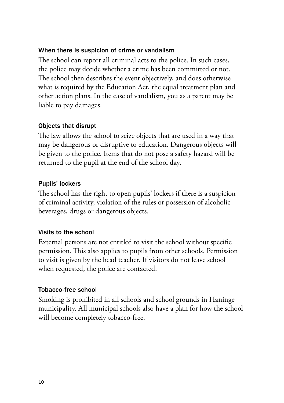#### When there is suspicion of crime or vandalism

The school can report all criminal acts to the police. In such cases, the police may decide whether a crime has been committed or not. The school then describes the event objectively, and does otherwise what is required by the Education Act, the equal treatment plan and other action plans. In the case of vandalism, you as a parent may be liable to pay damages.

#### Objects that disrupt

The law allows the school to seize objects that are used in a way that may be dangerous or disruptive to education. Dangerous objects will be given to the police. Items that do not pose a safety hazard will be returned to the pupil at the end of the school day.

#### Pupils' lockers

The school has the right to open pupils' lockers if there is a suspicion of criminal activity, violation of the rules or possession of alcoholic beverages, drugs or dangerous objects.

#### Visits to the school

External persons are not entitled to visit the school without specific permission. This also applies to pupils from other schools. Permission to visit is given by the head teacher. If visitors do not leave school when requested, the police are contacted.

#### Tobacco-free school

Smoking is prohibited in all schools and school grounds in Haninge municipality. All municipal schools also have a plan for how the school will become completely tobacco-free.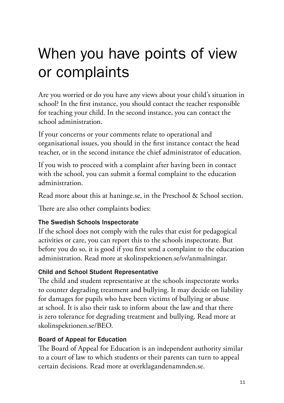# <span id="page-10-0"></span>When you have points of view or complaints

Are you worried or do you have any views about your child's situation in school? In the first instance, you should contact the teacher responsible for teaching your child. In the second instance, you can contact the school administration.

If your concerns or your comments relate to operational and organisational issues, you should in the first instance contact the head teacher, or in the second instance the chief administrator of education.

If you wish to proceed with a complaint after having been in contact with the school, you can submit a formal complaint to the education administration.

Read more about this at [haninge.se](http://haninge.se), in the Preschool & School section.

There are also other complaints bodies:

## The Swedish Schools Inspectorate

If the school does not comply with the rules that exist for pedagogical activities or care, you can report this to the schools inspectorate. But before you do so, it is good if you first send a complaint to the education administration. Read more at [skolinspektionen.se/sv/anmalningar.](http://skolinspektionen.se/sv/anmalningar)

## Child and School Student Representative

The child and student representative at the schools inspectorate works to counter degrading treatment and bullying. It may decide on liability for damages for pupils who have been victims of bullying or abuse at school. It is also their task to inform about the law and that there is zero tolerance for degrading treatment and bullying. Read more at [skolinspektionen.se/BEO](http://skolinspektionen.se/BEO).

## Board of Appeal for Education

The Board of Appeal for Education is an independent authority similar to a court of law to which students or their parents can turn to appeal certain decisions. Read more at [overklagandenamnden.se](http://overklagandenamnden.se).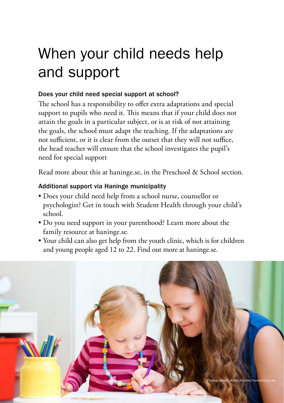# <span id="page-11-0"></span>When your child needs help and support

# Does your child need special support at school?

The school has a responsibility to offer extra adaptations and special support to pupils who need it. This means that if your child does not attain the goals in a particular subject, or is at risk of not attaining the goals, the school must adapt the teaching. If the adaptations are not sufficient, or it is clear from the outset that they will not suffice, the head teacher will ensure that the school investigates the pupil's need for special support

Read more about this at [haninge.se](http://haninge.se), in the Preschool & School section.

# Additional support via Haninge municipality

- Does your child need help from a school nurse, counsellor or psychologist? Get in touch with Student Health through your child's school.
- Do you need support in your parenthood? Learn more about the family resource at [haninge.se](http://haninge.se).
- Your child can also get help from the youth clinic, which is for children and young people aged 12 to 22. Find out more at [haninge.se](http://haninge.se).

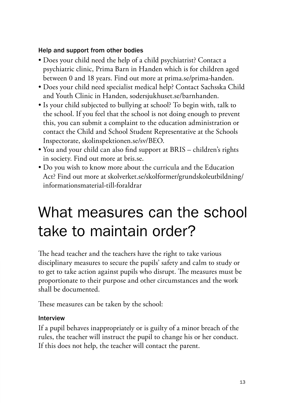#### <span id="page-12-0"></span>Help and support from other bodies

- Does your child need the help of a child psychiatrist? Contact a psychiatric clinic, Prima Barn in Handen which is for children aged between 0 and 18 years. Find out more at [prima.se/prima-handen](http://prima.se/prima-handen).
- Does your child need specialist medical help? Contact Sachsska Child and Youth Clinic in Handen, [sodersjukhuset.se/barnhanden.](http://sodersjukhuset.se/barnhanden)
- Is your child subjected to bullying at school? To begin with, talk to the school. If you feel that the school is not doing enough to prevent this, you can submit a complaint to the education administration or contact the Child and School Student Representative at the Schools Inspectorate, [skolinspektionen.se/sv/BEO](http://skolinspektionen.se/sv/BEO).
- You and your child can also find support at BRIS children's rights in society. Find out more at [bris.se.](http://bris.se)
- Do you wish to know more about the curricula and the Education Act? Find out more at [skolverket.se/skolformer/grundskoleutbildning/](http://skolverket.se/skolformer/grundskoleutbildning/informationsmaterial-till-foraldrar) [informationsmaterial-till-foraldrar](http://skolverket.se/skolformer/grundskoleutbildning/informationsmaterial-till-foraldrar)

# What measures can the school take to maintain order?

The head teacher and the teachers have the right to take various disciplinary measures to secure the pupils' safety and calm to study or to get to take action against pupils who disrupt. The measures must be proportionate to their purpose and other circumstances and the work shall be documented.

These measures can be taken by the school:

### Interview

If a pupil behaves inappropriately or is guilty of a minor breach of the rules, the teacher will instruct the pupil to change his or her conduct. If this does not help, the teacher will contact the parent.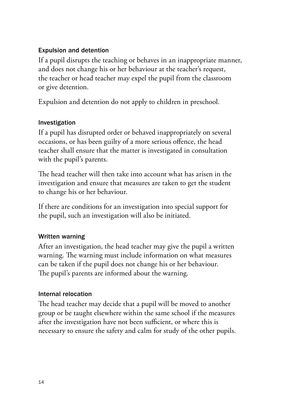### Expulsion and detention

If a pupil disrupts the teaching or behaves in an inappropriate manner, and does not change his or her behaviour at the teacher's request, the teacher or head teacher may expel the pupil from the classroom or give detention.

Expulsion and detention do not apply to children in preschool.

### Investigation

If a pupil has disrupted order or behaved inappropriately on several occasions, or has been guilty of a more serious offence, the head teacher shall ensure that the matter is investigated in consultation with the pupil's parents.

The head teacher will then take into account what has arisen in the investigation and ensure that measures are taken to get the student to change his or her behaviour.

If there are conditions for an investigation into special support for the pupil, such an investigation will also be initiated.

### Written warning

After an investigation, the head teacher may give the pupil a written warning. The warning must include information on what measures can be taken if the pupil does not change his or her behaviour. The pupil's parents are informed about the warning.

#### Internal relocation

The head teacher may decide that a pupil will be moved to another group or be taught elsewhere within the same school if the measures after the investigation have not been sufficient, or where this is necessary to ensure the safety and calm for study of the other pupils.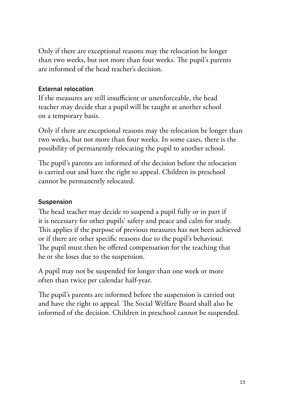Only if there are exceptional reasons may the relocation be longer than two weeks, but not more than four weeks. The pupil's parents are informed of the head teacher's decision.

#### External relocation

If the measures are still insufficient or unenforceable, the head teacher may decide that a pupil will be taught at another school on a temporary basis.

Only if there are exceptional reasons may the relocation be longer than two weeks, but not more than four weeks. In some cases, there is the possibility of permanently relocating the pupil to another school.

The pupil's parents are informed of the decision before the relocation is carried out and have the right to appeal. Children in preschool cannot be permanently relocated.

### **Suspension**

The head teacher may decide to suspend a pupil fully or in part if it is necessary for other pupils' safety and peace and calm for study. This applies if the purpose of previous measures has not been achieved or if there are other specific reasons due to the pupil's behaviour. The pupil must then be offered compensation for the teaching that he or she loses due to the suspension.

A pupil may not be suspended for longer than one week or more often than twice per calendar half-year.

The pupil's parents are informed before the suspension is carried out and have the right to appeal. The Social Welfare Board shall also be informed of the decision. Children in preschool cannot be suspended.